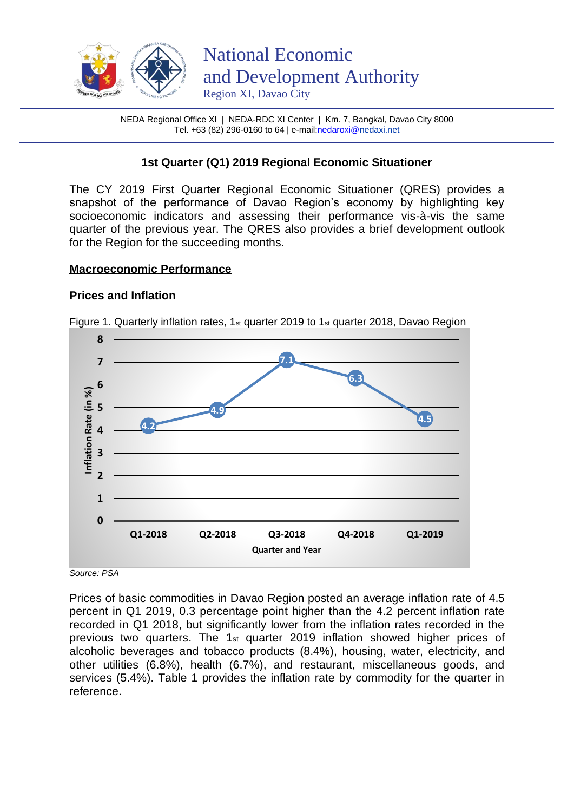

NEDA Regional Office XI | NEDA-RDC XI Center | Km. 7, Bangkal, Davao City 8000 Tel. +63 (82) 296-0160 to 64 | e-mail[:nedaroxi@n](mailto:nedaroxi@)edaxi.net

# **1st Quarter (Q1) 2019 Regional Economic Situationer**

The CY 2019 First Quarter Regional Economic Situationer (QRES) provides a snapshot of the performance of Davao Region's economy by highlighting key socioeconomic indicators and assessing their performance vis-à-vis the same quarter of the previous year. The QRES also provides a brief development outlook for the Region for the succeeding months.

## **Macroeconomic Performance**

## **Prices and Inflation**



Figure 1. Quarterly inflation rates, 1<sub>st</sub> quarter 2019 to 1<sub>st</sub> quarter 2018, Davao Region

*Source: PSA* 

Prices of basic commodities in Davao Region posted an average inflation rate of 4.5 percent in Q1 2019, 0.3 percentage point higher than the 4.2 percent inflation rate recorded in Q1 2018, but significantly lower from the inflation rates recorded in the previous two quarters. The 1st quarter 2019 inflation showed higher prices of alcoholic beverages and tobacco products (8.4%), housing, water, electricity, and other utilities (6.8%), health (6.7%), and restaurant, miscellaneous goods, and services (5.4%). Table 1 provides the inflation rate by commodity for the quarter in reference.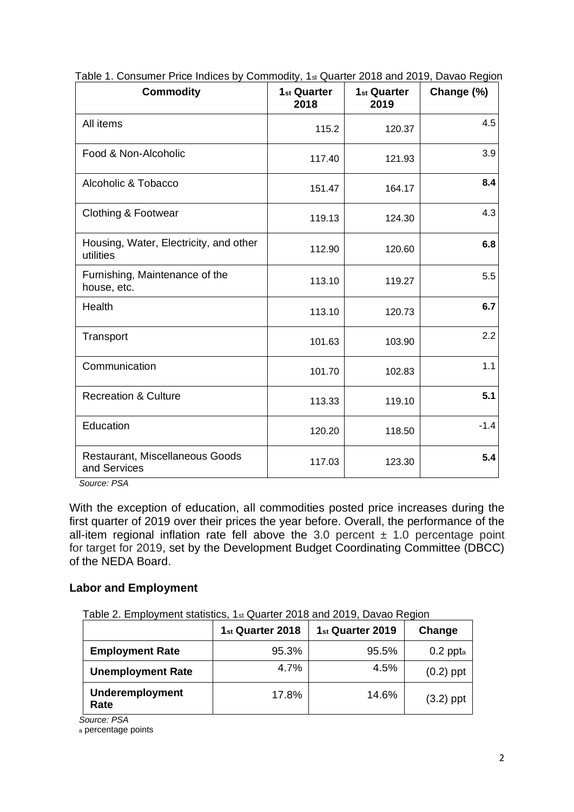| <b>Commodity</b>                                    | 1 <sub>st</sub> Quarter<br>2018 | 1 <sub>st</sub> Quarter<br>2019 | Change (%) |
|-----------------------------------------------------|---------------------------------|---------------------------------|------------|
| All items                                           | 115.2                           | 120.37                          | 4.5        |
| Food & Non-Alcoholic                                | 117.40                          | 121.93                          | 3.9        |
| Alcoholic & Tobacco                                 | 151.47                          | 164.17                          | 8.4        |
| Clothing & Footwear                                 | 119.13                          | 124.30                          | 4.3        |
| Housing, Water, Electricity, and other<br>utilities | 112.90                          | 120.60                          | 6.8        |
| Furnishing, Maintenance of the<br>house, etc.       | 113.10                          | 119.27                          | 5.5        |
| Health                                              | 113.10                          | 120.73                          | 6.7        |
| Transport                                           | 101.63                          | 103.90                          | 2.2        |
| Communication                                       | 101.70                          | 102.83                          | 1.1        |
| <b>Recreation &amp; Culture</b>                     | 113.33                          | 119.10                          | 5.1        |
| Education                                           | 120.20                          | 118.50                          | $-1.4$     |
| Restaurant, Miscellaneous Goods<br>and Services     | 117.03                          | 123.30                          | 5.4        |

Table 1. Consumer Price Indices by Commodity, 1st Quarter 2018 and 2019, Davao Region

 *Source: PSA* 

With the exception of education, all commodities posted price increases during the first quarter of 2019 over their prices the year before. Overall, the performance of the all-item regional inflation rate fell above the 3.0 percent  $\pm$  1.0 percentage point for target for 2019, set by the Development Budget Coordinating Committee (DBCC) of the NEDA Board.

# **Labor and Employment**

|                                | 1 <sub>st</sub> Quarter 2018 | 1 <sub>st</sub> Quarter 2019 | Change      |
|--------------------------------|------------------------------|------------------------------|-------------|
| <b>Employment Rate</b>         | 95.3%                        | 95.5%                        | $0.2$ ppta  |
| <b>Unemployment Rate</b>       | 4.7%                         | 4.5%                         | $(0.2)$ ppt |
| <b>Underemployment</b><br>Rate | 17.8%                        | 14.6%                        | $(3.2)$ ppt |

*Source: PSA* 

<sup>a</sup> percentage points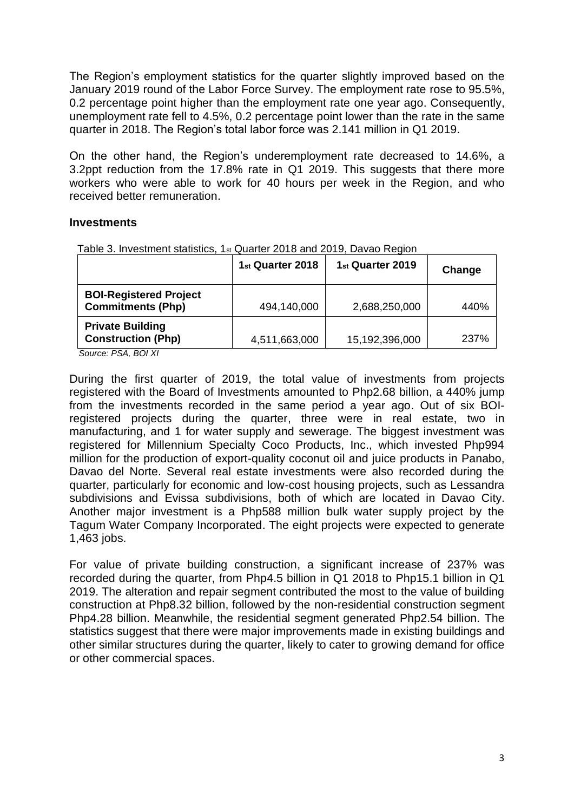The Region's employment statistics for the quarter slightly improved based on the January 2019 round of the Labor Force Survey. The employment rate rose to 95.5%, 0.2 percentage point higher than the employment rate one year ago. Consequently, unemployment rate fell to 4.5%, 0.2 percentage point lower than the rate in the same quarter in 2018. The Region's total labor force was 2.141 million in Q1 2019.

On the other hand, the Region's underemployment rate decreased to 14.6%, a 3.2ppt reduction from the 17.8% rate in Q1 2019. This suggests that there more workers who were able to work for 40 hours per week in the Region, and who received better remuneration.

## **Investments**

|                                                           | 1 <sub>st</sub> Quarter 2018 | 1 <sub>st</sub> Quarter 2019 | Change |
|-----------------------------------------------------------|------------------------------|------------------------------|--------|
| <b>BOI-Registered Project</b><br><b>Commitments (Php)</b> | 494,140,000                  | 2,688,250,000                | 440%   |
| <b>Private Building</b><br><b>Construction (Php)</b>      | 4,511,663,000                | 15,192,396,000               | 237%   |

Table 3. Investment statistics, 1st Quarter 2018 and 2019, Davao Region

*Source: PSA, BOI XI*

During the first quarter of 2019, the total value of investments from projects registered with the Board of Investments amounted to Php2.68 billion, a 440% jump from the investments recorded in the same period a year ago. Out of six BOIregistered projects during the quarter, three were in real estate, two in manufacturing, and 1 for water supply and sewerage. The biggest investment was registered for Millennium Specialty Coco Products, Inc., which invested Php994 million for the production of export-quality coconut oil and juice products in Panabo, Davao del Norte. Several real estate investments were also recorded during the quarter, particularly for economic and low-cost housing projects, such as Lessandra subdivisions and Evissa subdivisions, both of which are located in Davao City. Another major investment is a Php588 million bulk water supply project by the Tagum Water Company Incorporated. The eight projects were expected to generate 1,463 jobs.

For value of private building construction, a significant increase of 237% was recorded during the quarter, from Php4.5 billion in Q1 2018 to Php15.1 billion in Q1 2019. The alteration and repair segment contributed the most to the value of building construction at Php8.32 billion, followed by the non-residential construction segment Php4.28 billion. Meanwhile, the residential segment generated Php2.54 billion. The statistics suggest that there were major improvements made in existing buildings and other similar structures during the quarter, likely to cater to growing demand for office or other commercial spaces.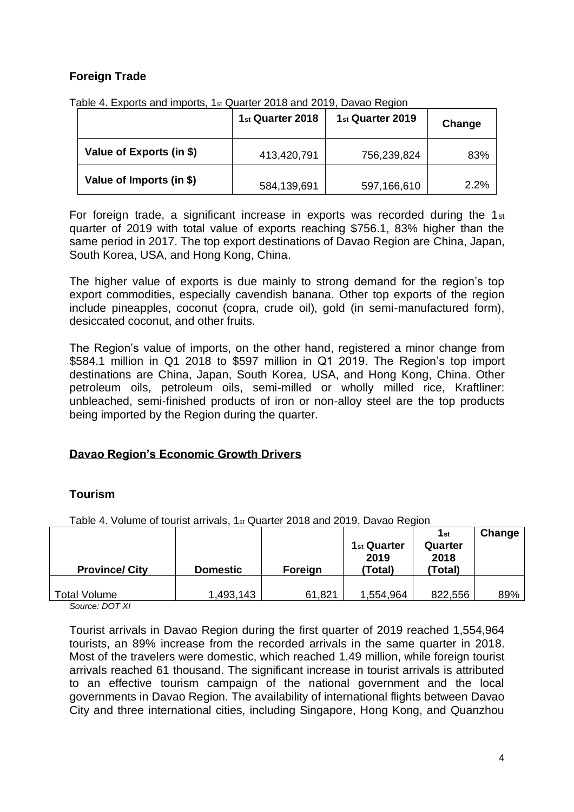# **Foreign Trade**

|                          | 1 <sub>st</sub> Quarter 2018 | 1 <sub>st</sub> Quarter 2019 | Change |
|--------------------------|------------------------------|------------------------------|--------|
| Value of Exports (in \$) | 413,420,791                  | 756,239,824                  | 83%    |
| Value of Imports (in \$) | 584,139,691                  | 597,166,610                  | 2.2%   |

Table 4. Exports and imports,  $1_{st}$  Quarter 2018 and 2019, Davao Region

For foreign trade, a significant increase in exports was recorded during the 1st quarter of 2019 with total value of exports reaching \$756.1, 83% higher than the same period in 2017. The top export destinations of Davao Region are China, Japan, South Korea, USA, and Hong Kong, China.

The higher value of exports is due mainly to strong demand for the region's top export commodities, especially cavendish banana. Other top exports of the region include pineapples, coconut (copra, crude oil), gold (in semi-manufactured form), desiccated coconut, and other fruits.

The Region's value of imports, on the other hand, registered a minor change from \$584.1 million in Q1 2018 to \$597 million in Q1 2019. The Region's top import destinations are China, Japan, South Korea, USA, and Hong Kong, China. Other petroleum oils, petroleum oils, semi-milled or wholly milled rice, Kraftliner: unbleached, semi-finished products of iron or non-alloy steel are the top products being imported by the Region during the quarter.

# **Davao Region's Economic Growth Drivers**

# **Tourism**

Table 4. Volume of tourist arrivals, 1st Quarter 2018 and 2019, Davao Region

|                       |                 |                | 1 <sub>st</sub> Quarter<br>2019 | $1_{st}$<br>Quarter<br>2018 | Change |
|-----------------------|-----------------|----------------|---------------------------------|-----------------------------|--------|
| <b>Province/ City</b> | <b>Domestic</b> | <b>Foreign</b> | (Total)                         | (Total)                     |        |
| <b>Total Volume</b>   | 1,493,143       | 61,821         | 1,554,964                       | 822,556                     | 89%    |

*Source: DOT XI*

Tourist arrivals in Davao Region during the first quarter of 2019 reached 1,554,964 tourists, an 89% increase from the recorded arrivals in the same quarter in 2018. Most of the travelers were domestic, which reached 1.49 million, while foreign tourist arrivals reached 61 thousand. The significant increase in tourist arrivals is attributed to an effective tourism campaign of the national government and the local governments in Davao Region. The availability of international flights between Davao City and three international cities, including Singapore, Hong Kong, and Quanzhou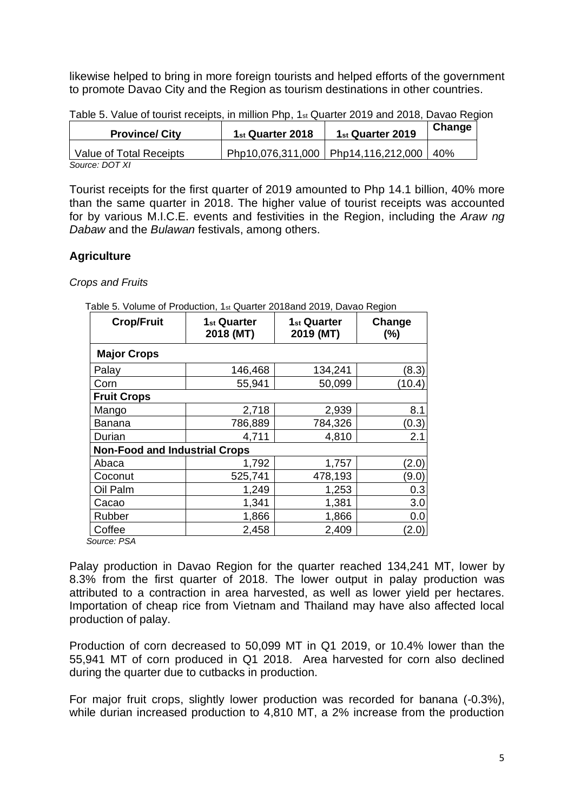likewise helped to bring in more foreign tourists and helped efforts of the government to promote Davao City and the Region as tourism destinations in other countries.

Table 5. Value of tourist receipts, in million Php, 1st Quarter 2019 and 2018, Davao Region

| <b>Province/ City</b>   | 1 <sub>st</sub> Quarter 2018 | 1 <sub>st</sub> Quarter 2019                | Change |
|-------------------------|------------------------------|---------------------------------------------|--------|
| Value of Total Receipts |                              | Php10,076,311,000   Php14,116,212,000   40% |        |
| Source: DOT XI          |                              |                                             |        |

Tourist receipts for the first quarter of 2019 amounted to Php 14.1 billion, 40% more than the same quarter in 2018. The higher value of tourist receipts was accounted for by various M.I.C.E. events and festivities in the Region, including the *Araw ng Dabaw* and the *Bulawan* festivals, among others.

# **Agriculture**

*Crops and Fruits*

| <b>Crop/Fruit</b>                    | 1 <sub>st</sub> Quarter<br>2018 (MT) | 1 <sub>st</sub> Quarter<br>2019 (MT) | Change<br>(%) |  |  |  |
|--------------------------------------|--------------------------------------|--------------------------------------|---------------|--|--|--|
| <b>Major Crops</b>                   |                                      |                                      |               |  |  |  |
| Palay                                | 146,468                              | 134,241                              | (8.3)         |  |  |  |
| Corn                                 | 55,941                               | 50,099                               | 10.4          |  |  |  |
| <b>Fruit Crops</b>                   |                                      |                                      |               |  |  |  |
| Mango                                | 2,718                                | 2,939                                | 8.1           |  |  |  |
| Banana                               | 786,889                              | 784,326                              | (0.3)         |  |  |  |
| Durian                               | 4,711                                | 4,810                                | 2.1           |  |  |  |
| <b>Non-Food and Industrial Crops</b> |                                      |                                      |               |  |  |  |
| Abaca                                | 1,792                                | 1,757                                | (2.0)         |  |  |  |
| Coconut                              | 525,741                              | 478,193                              | (9.0)         |  |  |  |
| Oil Palm                             | 1,249                                | 1,253                                | 0.3           |  |  |  |
| Cacao                                | 1,341                                | 1,381                                | 3.0           |  |  |  |
| Rubber                               | 1,866                                | 1,866                                | 0.0           |  |  |  |
| Coffee                               | 2,458                                | 2,409                                | (2.0)         |  |  |  |
| Source: PSA                          |                                      |                                      |               |  |  |  |

Table 5. Volume of Production, 1st Quarter 2018and 2019, Davao Region

Palay production in Davao Region for the quarter reached 134,241 MT, lower by 8.3% from the first quarter of 2018. The lower output in palay production was attributed to a contraction in area harvested, as well as lower yield per hectares. Importation of cheap rice from Vietnam and Thailand may have also affected local production of palay.

Production of corn decreased to 50,099 MT in Q1 2019, or 10.4% lower than the 55,941 MT of corn produced in Q1 2018. Area harvested for corn also declined during the quarter due to cutbacks in production.

For major fruit crops, slightly lower production was recorded for banana (-0.3%), while durian increased production to 4,810 MT, a 2% increase from the production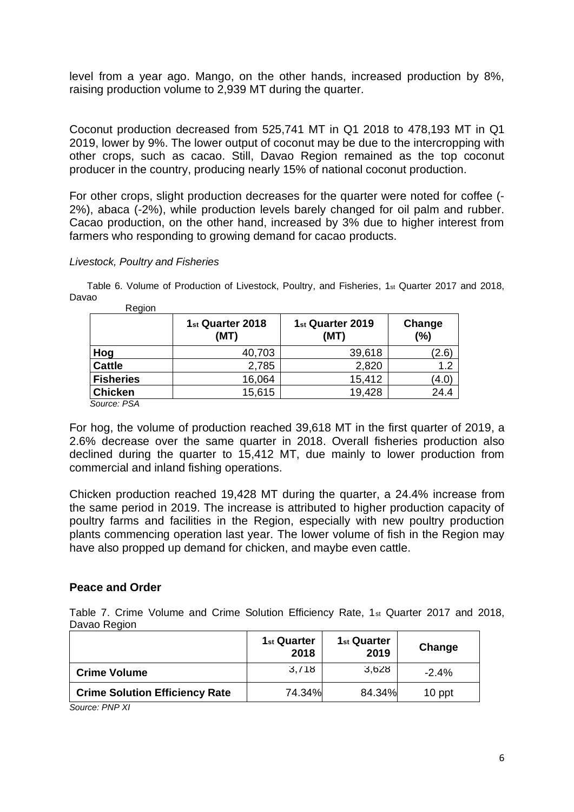level from a year ago. Mango, on the other hands, increased production by 8%, raising production volume to 2,939 MT during the quarter.

Coconut production decreased from 525,741 MT in Q1 2018 to 478,193 MT in Q1 2019, lower by 9%. The lower output of coconut may be due to the intercropping with other crops, such as cacao. Still, Davao Region remained as the top coconut producer in the country, producing nearly 15% of national coconut production.

For other crops, slight production decreases for the quarter were noted for coffee (- 2%), abaca (-2%), while production levels barely changed for oil palm and rubber. Cacao production, on the other hand, increased by 3% due to higher interest from farmers who responding to growing demand for cacao products.

#### *Livestock, Poultry and Fisheries*

Table 6. Volume of Production of Livestock, Poultry, and Fisheries, 1st Quarter 2017 and 2018, Davao

|                  | 1st Quarter 2018<br>(MT) | 1 <sub>st</sub> Quarter 2019<br>(MT) | Change<br>(%) |
|------------------|--------------------------|--------------------------------------|---------------|
| Hog              | 40,703                   | 39,618                               | (2.6)         |
| <b>Cattle</b>    | 2,785                    | 2,820                                | 1.2           |
| <b>Fisheries</b> | 16,064                   | 15,412                               | (4.0)         |
| <b>Chicken</b>   | 15,615                   | 19,428                               | 24.4          |
| $S$ $O$          |                          |                                      |               |

Region

 *Source: PSA* 

For hog, the volume of production reached 39,618 MT in the first quarter of 2019, a 2.6% decrease over the same quarter in 2018. Overall fisheries production also declined during the quarter to 15,412 MT, due mainly to lower production from commercial and inland fishing operations.

Chicken production reached 19,428 MT during the quarter, a 24.4% increase from the same period in 2019. The increase is attributed to higher production capacity of poultry farms and facilities in the Region, especially with new poultry production plants commencing operation last year. The lower volume of fish in the Region may have also propped up demand for chicken, and maybe even cattle.

## **Peace and Order**

Table 7. Crime Volume and Crime Solution Efficiency Rate, 1st Quarter 2017 and 2018, Davao Region

|                                       | 1 <sub>st</sub> Quarter<br>2018 | 1 <sub>st</sub> Quarter<br>2019 | Change   |
|---------------------------------------|---------------------------------|---------------------------------|----------|
| <b>Crime Volume</b>                   | 3.718                           | 3.628                           | $-2.4\%$ |
| <b>Crime Solution Efficiency Rate</b> | 74.34%                          | 84.34%                          | 10 ppt   |

*Source: PNP XI*